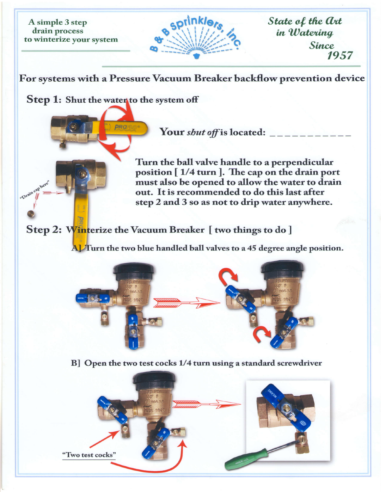A simple 3 step drain process

cap here  $D^{\text{rain}}$   $\mathcal{U}$ 

> I a



State of the Art in Watering Since 1957

to winterize your system<br>
Since<br>
For systems with a Pressure Vacuum Breaker backflow prevention device

Step 1: Shut the waten to the system off

Your sltut offi" located:

Turn the ball valve handle to a perpendicular position  $[1/4$  turn  $]$ . The cap on the drain port must also be opened to allow the water to drain out. It is recommended to do this last after step 2 and 3 so as not to drip water anywhere.

## Step 2: Winterize the Vacuum Breaker [ two things to do ]

 $\mathbf{A}$  Turn the two blue handled ball valves to a 45 degree angle position.



B] Open the two test cocks 1/4 turn using a standard screwdriver